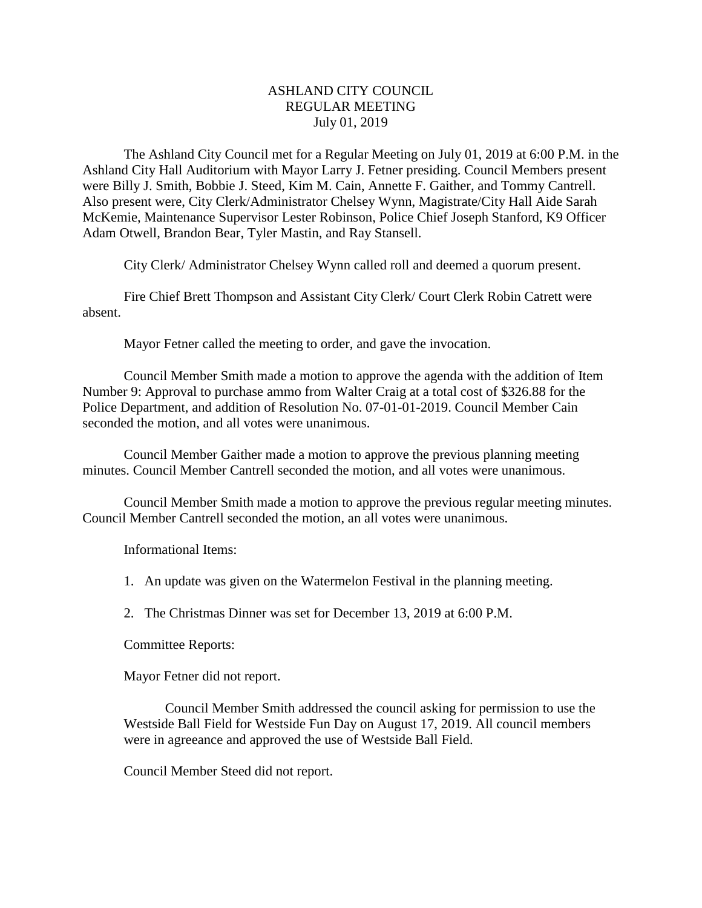## ASHLAND CITY COUNCIL REGULAR MEETING July 01, 2019

The Ashland City Council met for a Regular Meeting on July 01, 2019 at 6:00 P.M. in the Ashland City Hall Auditorium with Mayor Larry J. Fetner presiding. Council Members present were Billy J. Smith, Bobbie J. Steed, Kim M. Cain, Annette F. Gaither, and Tommy Cantrell. Also present were, City Clerk/Administrator Chelsey Wynn, Magistrate/City Hall Aide Sarah McKemie, Maintenance Supervisor Lester Robinson, Police Chief Joseph Stanford, K9 Officer Adam Otwell, Brandon Bear, Tyler Mastin, and Ray Stansell.

City Clerk/ Administrator Chelsey Wynn called roll and deemed a quorum present.

Fire Chief Brett Thompson and Assistant City Clerk/ Court Clerk Robin Catrett were absent.

Mayor Fetner called the meeting to order, and gave the invocation.

Council Member Smith made a motion to approve the agenda with the addition of Item Number 9: Approval to purchase ammo from Walter Craig at a total cost of \$326.88 for the Police Department, and addition of Resolution No. 07-01-01-2019. Council Member Cain seconded the motion, and all votes were unanimous.

Council Member Gaither made a motion to approve the previous planning meeting minutes. Council Member Cantrell seconded the motion, and all votes were unanimous.

Council Member Smith made a motion to approve the previous regular meeting minutes. Council Member Cantrell seconded the motion, an all votes were unanimous.

Informational Items:

1. An update was given on the Watermelon Festival in the planning meeting.

2. The Christmas Dinner was set for December 13, 2019 at 6:00 P.M.

Committee Reports:

Mayor Fetner did not report.

Council Member Smith addressed the council asking for permission to use the Westside Ball Field for Westside Fun Day on August 17, 2019. All council members were in agreeance and approved the use of Westside Ball Field.

Council Member Steed did not report.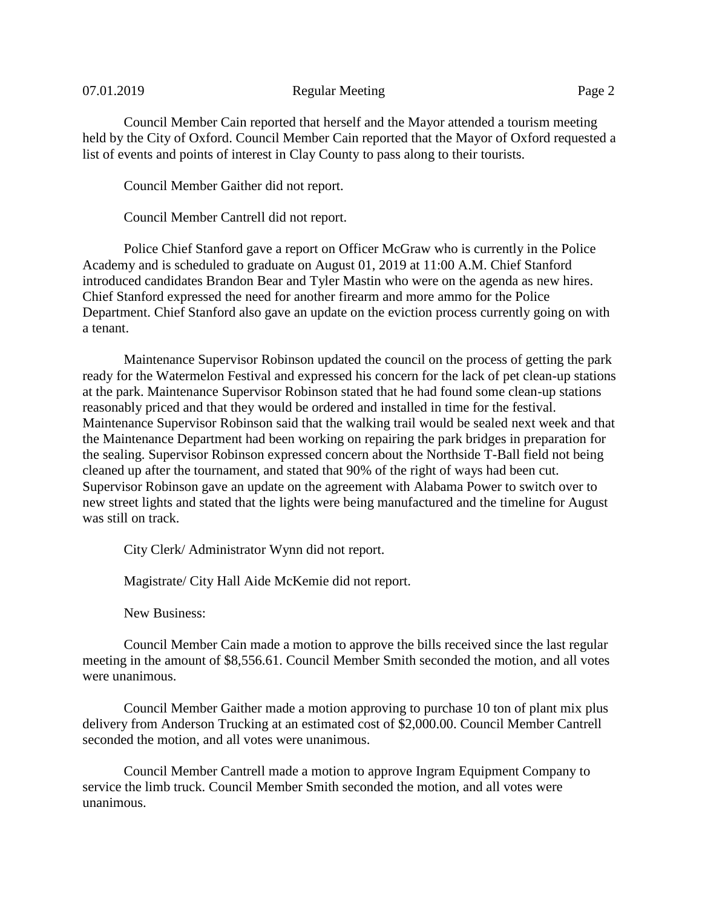## 07.01.2019 Regular Meeting Page 2

Council Member Cain reported that herself and the Mayor attended a tourism meeting held by the City of Oxford. Council Member Cain reported that the Mayor of Oxford requested a list of events and points of interest in Clay County to pass along to their tourists.

Council Member Gaither did not report.

Council Member Cantrell did not report.

Police Chief Stanford gave a report on Officer McGraw who is currently in the Police Academy and is scheduled to graduate on August 01, 2019 at 11:00 A.M. Chief Stanford introduced candidates Brandon Bear and Tyler Mastin who were on the agenda as new hires. Chief Stanford expressed the need for another firearm and more ammo for the Police Department. Chief Stanford also gave an update on the eviction process currently going on with a tenant.

Maintenance Supervisor Robinson updated the council on the process of getting the park ready for the Watermelon Festival and expressed his concern for the lack of pet clean-up stations at the park. Maintenance Supervisor Robinson stated that he had found some clean-up stations reasonably priced and that they would be ordered and installed in time for the festival. Maintenance Supervisor Robinson said that the walking trail would be sealed next week and that the Maintenance Department had been working on repairing the park bridges in preparation for the sealing. Supervisor Robinson expressed concern about the Northside T-Ball field not being cleaned up after the tournament, and stated that 90% of the right of ways had been cut. Supervisor Robinson gave an update on the agreement with Alabama Power to switch over to new street lights and stated that the lights were being manufactured and the timeline for August was still on track.

City Clerk/ Administrator Wynn did not report.

Magistrate/ City Hall Aide McKemie did not report.

New Business:

Council Member Cain made a motion to approve the bills received since the last regular meeting in the amount of \$8,556.61. Council Member Smith seconded the motion, and all votes were unanimous.

Council Member Gaither made a motion approving to purchase 10 ton of plant mix plus delivery from Anderson Trucking at an estimated cost of \$2,000.00. Council Member Cantrell seconded the motion, and all votes were unanimous.

Council Member Cantrell made a motion to approve Ingram Equipment Company to service the limb truck. Council Member Smith seconded the motion, and all votes were unanimous.